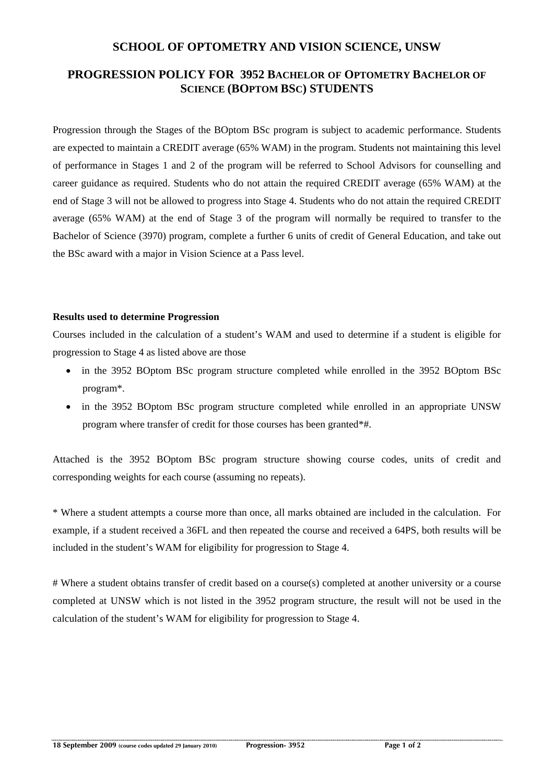### **SCHOOL OF OPTOMETRY AND VISION SCIENCE, UNSW**

## **PROGRESSION POLICY FOR 3952 BACHELOR OF OPTOMETRY BACHELOR OF SCIENCE (BOPTOM BSC) STUDENTS**

Progression through the Stages of the BOptom BSc program is subject to academic performance. Students are expected to maintain a CREDIT average (65% WAM) in the program. Students not maintaining this level of performance in Stages 1 and 2 of the program will be referred to School Advisors for counselling and career guidance as required. Students who do not attain the required CREDIT average (65% WAM) at the end of Stage 3 will not be allowed to progress into Stage 4. Students who do not attain the required CREDIT average (65% WAM) at the end of Stage 3 of the program will normally be required to transfer to the Bachelor of Science (3970) program, complete a further 6 units of credit of General Education, and take out the BSc award with a major in Vision Science at a Pass level.

#### **Results used to determine Progression**

Courses included in the calculation of a student's WAM and used to determine if a student is eligible for progression to Stage 4 as listed above are those

- in the 3952 BOptom BSc program structure completed while enrolled in the 3952 BOptom BSc program\*.
- in the 3952 BOptom BSc program structure completed while enrolled in an appropriate UNSW program where transfer of credit for those courses has been granted\*#.

Attached is the 3952 BOptom BSc program structure showing course codes, units of credit and corresponding weights for each course (assuming no repeats).

\* Where a student attempts a course more than once, all marks obtained are included in the calculation. For example, if a student received a 36FL and then repeated the course and received a 64PS, both results will be included in the student's WAM for eligibility for progression to Stage 4.

# Where a student obtains transfer of credit based on a course(s) completed at another university or a course completed at UNSW which is not listed in the 3952 program structure, the result will not be used in the calculation of the student's WAM for eligibility for progression to Stage 4.